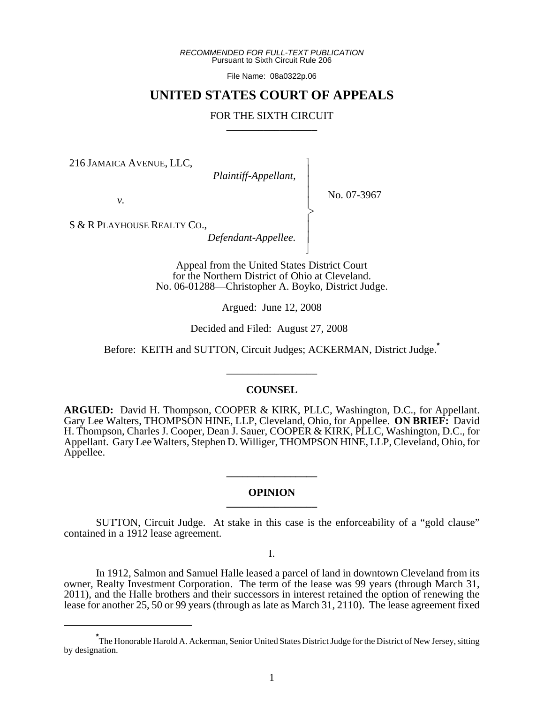*RECOMMENDED FOR FULL-TEXT PUBLICATION* Pursuant to Sixth Circuit Rule 206

File Name: 08a0322p.06

# **UNITED STATES COURT OF APPEALS**

# FOR THE SIXTH CIRCUIT

 $\overline{\phantom{a}}$ - - - -  $\succ$ |<br>|<br>| - - N

216 JAMAICA AVENUE, LLC,

 *Plaintiff-Appellant,*

No. 07-3967

*v.*

S & R PLAYHOUSE REALTY CO.,

*Defendant-Appellee.*

Appeal from the United States District Court for the Northern District of Ohio at Cleveland. No. 06-01288—Christopher A. Boyko, District Judge.

Argued: June 12, 2008

Decided and Filed: August 27, 2008

Before: KEITH and SUTTON, Circuit Judges; ACKERMAN, District Judge.**\***

\_\_\_\_\_\_\_\_\_\_\_\_\_\_\_\_\_

### **COUNSEL**

**ARGUED:** David H. Thompson, COOPER & KIRK, PLLC, Washington, D.C., for Appellant. Gary Lee Walters, THOMPSON HINE, LLP, Cleveland, Ohio, for Appellee. **ON BRIEF:** David H. Thompson, Charles J. Cooper, Dean J. Sauer, COOPER & KIRK, PLLC, Washington, D.C., for Appellant. Gary Lee Walters, Stephen D. Williger, THOMPSON HINE, LLP, Cleveland, Ohio, for Appellee.

## **OPINION \_\_\_\_\_\_\_\_\_\_\_\_\_\_\_\_\_**

**\_\_\_\_\_\_\_\_\_\_\_\_\_\_\_\_\_**

SUTTON, Circuit Judge. At stake in this case is the enforceability of a "gold clause" contained in a 1912 lease agreement.

I.

In 1912, Salmon and Samuel Halle leased a parcel of land in downtown Cleveland from its owner, Realty Investment Corporation. The term of the lease was 99 years (through March 31, 2011), and the Halle brothers and their successors in interest retained the option of renewing the lease for another 25, 50 or 99 years (through as late as March 31, 2110). The lease agreement fixed

**<sup>\*</sup>** The Honorable Harold A. Ackerman, Senior United States District Judge for the District of New Jersey, sitting by designation.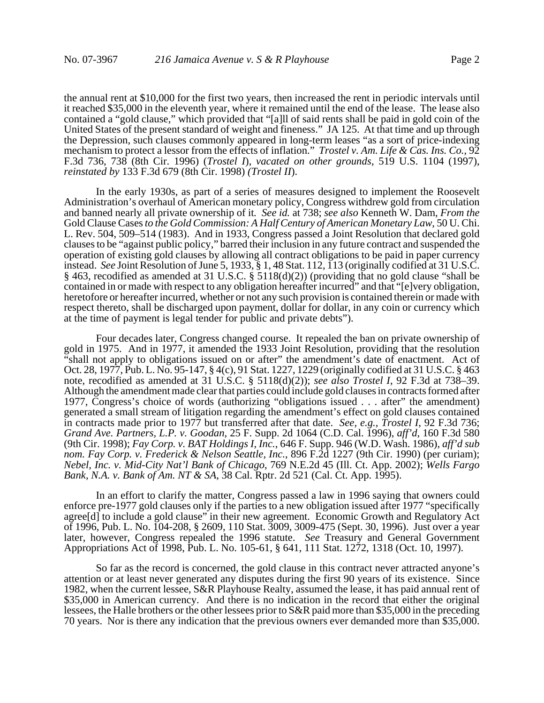the annual rent at \$10,000 for the first two years, then increased the rent in periodic intervals until it reached \$35,000 in the eleventh year, where it remained until the end of the lease. The lease also contained a "gold clause," which provided that "[a]ll of said rents shall be paid in gold coin of the United States of the present standard of weight and fineness." JA 125. At that time and up through the Depression, such clauses commonly appeared in long-term leases "as a sort of price-indexing mechanism to protect a lessor from the effects of inflation." *Trostel v. Am. Life & Cas. Ins. Co.*, 92 F.3d 736, 738 (8th Cir. 1996) (*Trostel I*), *vacated on other grounds*, 519 U.S. 1104 (1997), *reinstated by* 133 F.3d 679 (8th Cir. 1998) *(Trostel II*).

In the early 1930s, as part of a series of measures designed to implement the Roosevelt Administration's overhaul of American monetary policy, Congress withdrew gold from circulation and banned nearly all private ownership of it*. See id.* at 738; *see also* Kenneth W. Dam, *From the* Gold Clause Cases *to the Gold Commission: A Half Century of American Monetary Law*, 50 U. Chi. L. Rev. 504, 509–514 (1983). And in 1933, Congress passed a Joint Resolution that declared gold clauses to be "against public policy," barred their inclusion in any future contract and suspended the operation of existing gold clauses by allowing all contract obligations to be paid in paper currency instead. *See* Joint Resolution of June 5, 1933, § 1, 48 Stat. 112, 113 (originally codified at 31 U.S.C. § 463, recodified as amended at 31 U.S.C. § 5118(d)(2)) (providing that no gold clause "shall be contained in or made with respect to any obligation hereafter incurred" and that "[e]very obligation, heretofore or hereafter incurred, whether or not any such provision is contained therein or made with respect thereto, shall be discharged upon payment, dollar for dollar, in any coin or currency which at the time of payment is legal tender for public and private debts").

Four decades later, Congress changed course. It repealed the ban on private ownership of gold in 1975. And in 1977, it amended the 1933 Joint Resolution, providing that the resolution "shall not apply to obligations issued on or after" the amendment's date of enactment. Act of Oct. 28, 1977, Pub. L. No. 95-147, § 4(c), 91 Stat. 1227, 1229 (originally codified at 31 U.S.C. § 463 note, recodified as amended at 31 U.S.C. § 5118(d)(2)); *see also Trostel I*, 92 F.3d at 738–39. Although the amendment made clear that parties could include gold clauses in contracts formed after 1977, Congress's choice of words (authorizing "obligations issued . . . after" the amendment) generated a small stream of litigation regarding the amendment's effect on gold clauses contained in contracts made prior to 1977 but transferred after that date. *See, e.g.*, *Trostel I*, 92 F.3d 736; *Grand Ave. Partners, L.P. v. Goodan*, 25 F. Supp. 2d 1064 (C.D. Cal. 1996), *aff'd*, 160 F.3d 580 (9th Cir. 1998); *Fay Corp. v. BAT Holdings I, Inc.*, 646 F. Supp. 946 (W.D. Wash. 1986), *aff'd sub nom. Fay Corp. v. Frederick & Nelson Seattle, Inc.*, 896 F.2d 1227 (9th Cir. 1990) (per curiam); *Nebel, Inc. v. Mid-City Nat'l Bank of Chicago*, 769 N.E.2d 45 (Ill. Ct. App. 2002); *Wells Fargo Bank, N.A. v. Bank of Am. NT & SA*, 38 Cal. Rptr. 2d 521 (Cal. Ct. App. 1995).

In an effort to clarify the matter, Congress passed a law in 1996 saying that owners could enforce pre-1977 gold clauses only if the parties to a new obligation issued after 1977 "specifically agree[d] to include a gold clause" in their new agreement. Economic Growth and Regulatory Act of 1996, Pub. L. No. 104-208, § 2609, 110 Stat. 3009, 3009-475 (Sept. 30, 1996). Just over a year later, however, Congress repealed the 1996 statute. *See* Treasury and General Government Appropriations Act of 1998, Pub. L. No. 105-61, § 641, 111 Stat. 1272, 1318 (Oct. 10, 1997).

So far as the record is concerned, the gold clause in this contract never attracted anyone's attention or at least never generated any disputes during the first 90 years of its existence. Since 1982, when the current lessee, S&R Playhouse Realty, assumed the lease, it has paid annual rent of \$35,000 in American currency. And there is no indication in the record that either the original lessees, the Halle brothers or the other lessees prior to S&R paid more than \$35,000 in the preceding 70 years. Nor is there any indication that the previous owners ever demanded more than \$35,000.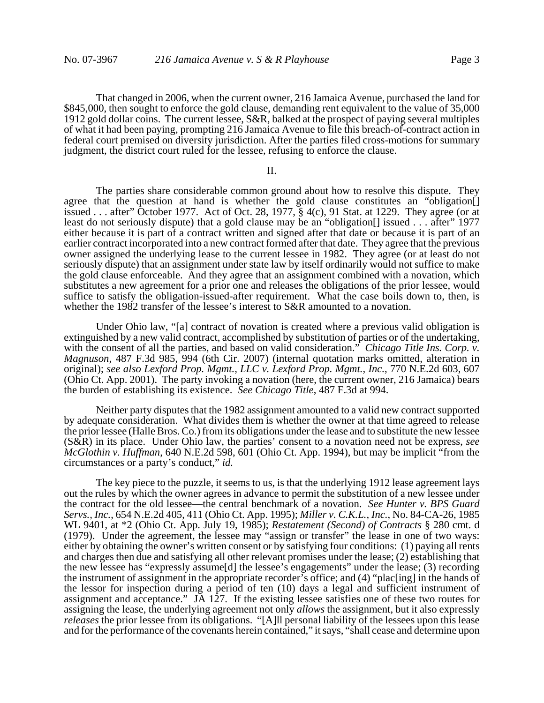That changed in 2006, when the current owner, 216 Jamaica Avenue, purchased the land for \$845,000, then sought to enforce the gold clause, demanding rent equivalent to the value of 35,000 1912 gold dollar coins. The current lessee, S&R, balked at the prospect of paying several multiples of what it had been paying, prompting 216 Jamaica Avenue to file this breach-of-contract action in federal court premised on diversity jurisdiction. After the parties filed cross-motions for summary judgment, the district court ruled for the lessee, refusing to enforce the clause.

II.

The parties share considerable common ground about how to resolve this dispute. They agree that the question at hand is whether the gold clause constitutes an "obligation[] issued . . . after" October 1977. Act of Oct. 28, 1977, § 4(c), 91 Stat. at 1229. They agree (or at least do not seriously dispute) that a gold clause may be an "obligation[] issued . . . after" 1977 either because it is part of a contract written and signed after that date or because it is part of an earlier contract incorporated into a new contract formed after that date. They agree that the previous owner assigned the underlying lease to the current lessee in 1982. They agree (or at least do not seriously dispute) that an assignment under state law by itself ordinarily would not suffice to make the gold clause enforceable.And they agree that an assignment combined with a novation, which substitutes a new agreement for a prior one and releases the obligations of the prior lessee, would suffice to satisfy the obligation-issued-after requirement. What the case boils down to, then, is whether the 1982 transfer of the lessee's interest to S&R amounted to a novation.

Under Ohio law, "[a] contract of novation is created where a previous valid obligation is extinguished by a new valid contract, accomplished by substitution of parties or of the undertaking, with the consent of all the parties, and based on valid consideration." *Chicago Title Ins. Corp. v. Magnuson*, 487 F.3d 985, 994 (6th Cir. 2007) (internal quotation marks omitted, alteration in original); *see also Lexford Prop. Mgmt., LLC v. Lexford Prop. Mgmt., Inc.*, 770 N.E.2d 603, 607 (Ohio Ct. App. 2001). The party invoking a novation (here, the current owner, 216 Jamaica) bears the burden of establishing its existence. *See Chicago Title*, 487 F.3d at 994.

Neither party disputes that the 1982 assignment amounted to a valid new contract supported by adequate consideration. What divides them is whether the owner at that time agreed to release the prior lessee (Halle Bros. Co.) from its obligations under the lease and to substitute the new lessee (S&R) in its place. Under Ohio law, the parties' consent to a novation need not be express, *see McGlothin v. Huffman*, 640 N.E.2d 598, 601 (Ohio Ct. App. 1994), but may be implicit "from the circumstances or a party's conduct," *id.*

The key piece to the puzzle, it seems to us, is that the underlying 1912 lease agreement lays out the rules by which the owner agrees in advance to permit the substitution of a new lessee under the contract for the old lessee—the central benchmark of a novation. *See Hunter v. BPS Guard Servs., Inc.*, 654 N.E.2d 405, 411 (Ohio Ct. App. 1995); *Miller v. C.K.L., Inc.*, No. 84-CA-26, 1985 WL 9401, at \*2 (Ohio Ct. App. July 19, 1985); *Restatement (Second) of Contracts* § 280 cmt. d (1979). Under the agreement, the lessee may "assign or transfer" the lease in one of two ways: either by obtaining the owner's written consent or by satisfying four conditions: (1) paying all rents and charges then due and satisfying all other relevant promises under the lease; (2) establishing that the new lessee has "expressly assume[d] the lessee's engagements" under the lease; (3) recording the instrument of assignment in the appropriate recorder's office; and (4) "plac[ing] in the hands of the lessor for inspection during a period of ten (10) days a legal and sufficient instrument of assignment and acceptance." JA 127. If the existing lessee satisfies one of these two routes for assigning the lease, the underlying agreement not only *allows* the assignment, but it also expressly *releases* the prior lessee from its obligations. "[A]ll personal liability of the lessees upon this lease and for the performance of the covenants herein contained," it says, "shall cease and determine upon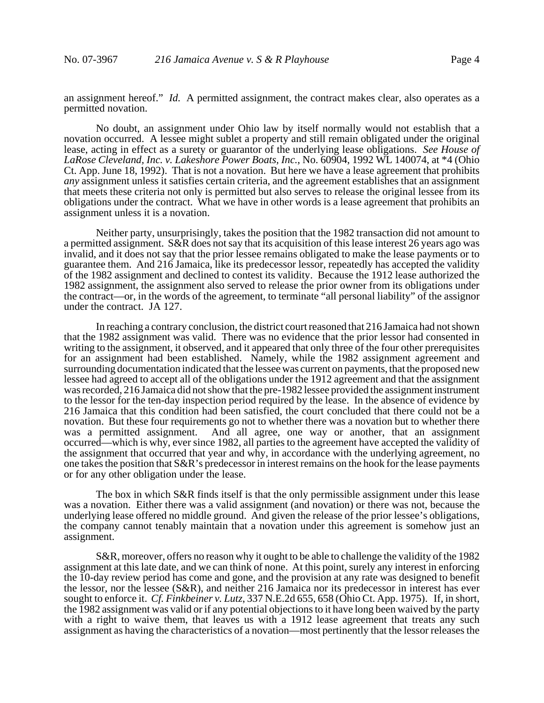an assignment hereof." *Id.* A permitted assignment, the contract makes clear, also operates as a permitted novation.

No doubt, an assignment under Ohio law by itself normally would not establish that a novation occurred. A lessee might sublet a property and still remain obligated under the original lease, acting in effect as a surety or guarantor of the underlying lease obligations. *See House of LaRose Cleveland, Inc. v. Lakeshore Power Boats, Inc.*, No. 60904, 1992 WL 140074, at \*4 (Ohio Ct. App. June 18, 1992). That is not a novation. But here we have a lease agreement that prohibits *any* assignment unless it satisfies certain criteria, and the agreement establishes that an assignment that meets these criteria not only is permitted but also serves to release the original lessee from its obligations under the contract. What we have in other words is a lease agreement that prohibits an assignment unless it is a novation.

Neither party, unsurprisingly, takes the position that the 1982 transaction did not amount to a permitted assignment. S&R does not say that its acquisition of this lease interest 26 years ago was invalid, and it does not say that the prior lessee remains obligated to make the lease payments or to guarantee them. And 216 Jamaica, like its predecessor lessor, repeatedly has accepted the validity of the 1982 assignment and declined to contest its validity. Because the 1912 lease authorized the 1982 assignment, the assignment also served to release the prior owner from its obligations under the contract—or, in the words of the agreement, to terminate "all personal liability" of the assignor under the contract. JA 127.

In reaching a contrary conclusion, the district court reasoned that 216 Jamaica had not shown that the 1982 assignment was valid. There was no evidence that the prior lessor had consented in writing to the assignment, it observed, and it appeared that only three of the four other prerequisites for an assignment had been established. Namely, while the 1982 assignment agreement and surrounding documentation indicated that the lessee was current on payments, that the proposed new lessee had agreed to accept all of the obligations under the 1912 agreement and that the assignment was recorded, 216 Jamaica did not show that the pre-1982 lessee provided the assignment instrument to the lessor for the ten-day inspection period required by the lease. In the absence of evidence by 216 Jamaica that this condition had been satisfied, the court concluded that there could not be a novation. But these four requirements go not to whether there was a novation but to whether there was a permitted assignment. And all agree, one way or another, that an assignment occurred—which is why, ever since 1982, all parties to the agreement have accepted the validity of the assignment that occurred that year and why, in accordance with the underlying agreement, no one takes the position that S&R's predecessor in interest remains on the hook for the lease payments or for any other obligation under the lease.

The box in which S&R finds itself is that the only permissible assignment under this lease was a novation. Either there was a valid assignment (and novation) or there was not, because the underlying lease offered no middle ground. And given the release of the prior lessee's obligations, the company cannot tenably maintain that a novation under this agreement is somehow just an assignment.

S&R, moreover, offers no reason why it ought to be able to challenge the validity of the 1982 assignment at this late date, and we can think of none. At this point, surely any interest in enforcing the 10-day review period has come and gone, and the provision at any rate was designed to benefit the lessor, nor the lessee (S&R), and neither 216 Jamaica nor its predecessor in interest has ever sought to enforce it. *Cf. Finkbeiner v. Lutz*, 337 N.E.2d 655, 658 (Ohio Ct. App. 1975). If, in short, the 1982 assignment was valid or if any potential objections to it have long been waived by the party with a right to waive them, that leaves us with a 1912 lease agreement that treats any such assignment as having the characteristics of a novation—most pertinently that the lessor releases the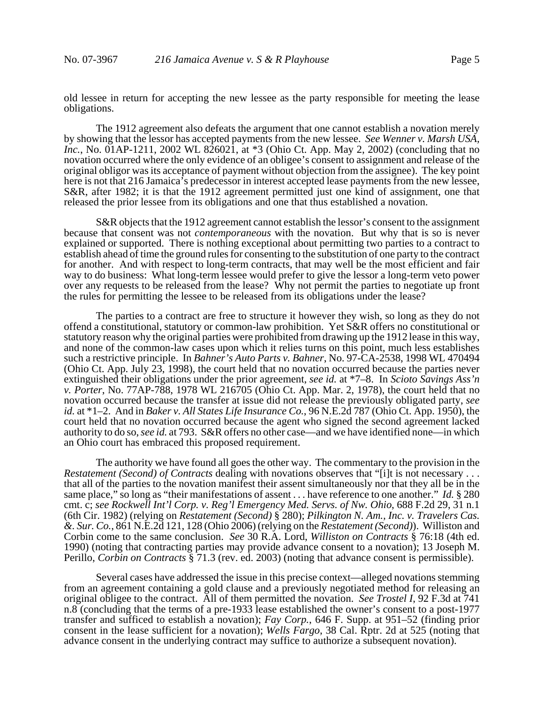old lessee in return for accepting the new lessee as the party responsible for meeting the lease obligations.

The 1912 agreement also defeats the argument that one cannot establish a novation merely by showing that the lessor has accepted payments from the new lessee. *See Wenner v. Marsh USA,* Inc., No. 01AP-1211, 2002 WL 826021, at \*3 (Ohio Ct. App. May 2, 2002) (concluding that no novation occurred where the only evidence of an obligee's consent to assignment and release of the original obligor was its acceptance of payment without objection from the assignee). The key point here is not that 216 Jamaica's predecessor in interest accepted lease payments from the new lessee, S&R, after 1982; it is that the 1912 agreement permitted just one kind of assignment, one that released the prior lessee from its obligations and one that thus established a novation.

S&R objects that the 1912 agreement cannot establish the lessor's consent to the assignment because that consent was not *contemporaneous* with the novation. But why that is so is never explained or supported. There is nothing exceptional about permitting two parties to a contract to establish ahead of time the ground rules for consenting to the substitution of one party to the contract for another. And with respect to long-term contracts, that may well be the most efficient and fair way to do business: What long-term lessee would prefer to give the lessor a long-term veto power over any requests to be released from the lease? Why not permit the parties to negotiate up front the rules for permitting the lessee to be released from its obligations under the lease?

The parties to a contract are free to structure it however they wish, so long as they do not offend a constitutional, statutory or common-law prohibition. Yet S&R offers no constitutional or statutory reason why the original parties were prohibited from drawing up the 1912 lease in this way, and none of the common-law cases upon which it relies turns on this point, much less establishes such a restrictive principle. In *Bahner's Auto Parts v. Bahner*, No. 97-CA-2538, 1998 WL 470494 (Ohio Ct. App. July 23, 1998), the court held that no novation occurred because the parties never extinguished their obligations under the prior agreement, *see id.* at \*7–8. In *Scioto Savings Ass'n v. Porter*, No. 77AP-788, 1978 WL 216705 (Ohio Ct. App. Mar. 2, 1978), the court held that no novation occurred because the transfer at issue did not release the previously obligated party, *see id.* at \*1–2. And in *Baker v. All States Life Insurance Co.*, 96 N.E.2d 787 (Ohio Ct. App. 1950), the court held that no novation occurred because the agent who signed the second agreement lacked authority to do so, *see id.* at 793. S&R offers no other case—and we have identified none—in which an Ohio court has embraced this proposed requirement.

The authority we have found all goes the other way. The commentary to the provision in the *Restatement (Second) of Contracts dealing with novations observes that "[i]t is not necessary ...* that all of the parties to the novation manifest their assent simultaneously nor that they all be in the same place," so long as "their manifestations of assent . . . have reference to one another." *Id.* § 280 cmt. c; *see Rockwell Int'l Corp. v. Reg'l Emergency Med. Servs. of Nw. Ohio*, 688 F.2d 29, 31 n.1 (6th Cir. 1982) (relying on *Restatement (Second)* § 280); *Pilkington N. Am., Inc. v. Travelers Cas. &. Sur. Co.*, 861 N.E.2d 121, 128 (Ohio 2006) (relying on the *Restatement (Second)*). Williston and Corbin come to the same conclusion. *See* 30 R.A. Lord, *Williston on Contracts* § 76:18 (4th ed. 1990) (noting that contracting parties may provide advance consent to a novation); 13 Joseph M. Perillo, *Corbin on Contracts* § 71.3 (rev. ed. 2003) (noting that advance consent is permissible).

Several cases have addressed the issue in this precise context—alleged novations stemming from an agreement containing a gold clause and a previously negotiated method for releasing an original obligee to the contract.All of them permitted the novation. *See Trostel I*, 92 F.3d at 741 n.8 (concluding that the terms of a pre-1933 lease established the owner's consent to a post-1977 transfer and sufficed to establish a novation); *Fay Corp.*, 646 F. Supp. at 951–52 (finding prior consent in the lease sufficient for a novation); *Wells Fargo*, 38 Cal. Rptr. 2d at 525 (noting that advance consent in the underlying contract may suffice to authorize a subsequent novation).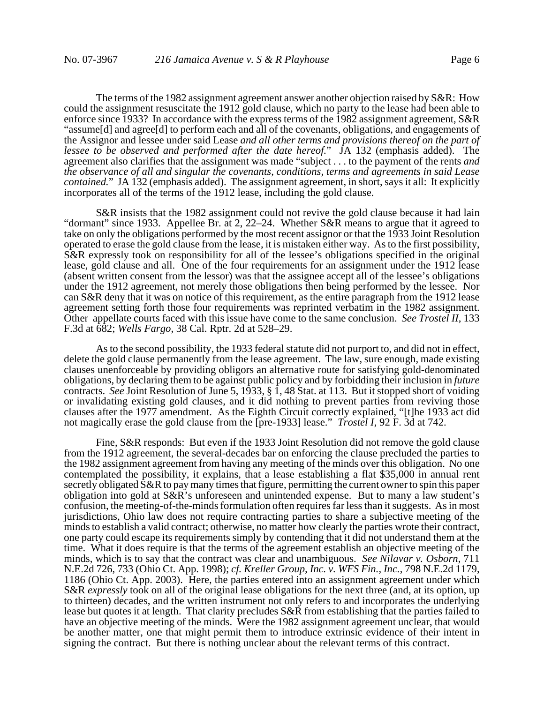The terms of the 1982 assignment agreement answer another objection raised by S&R: How could the assignment resuscitate the 1912 gold clause, which no party to the lease had been able to enforce since 1933? In accordance with the express terms of the 1982 assignment agreement, S&R "assume[d] and agree[d] to perform each and all of the covenants, obligations, and engagements of the Assignor and lessee under said Lease *and all other terms and provisions thereof on the part of lessee to be observed and performed after the date hereof.*" JA 132 (emphasis added). The agreement also clarifies that the assignment was made "subject . . . to the payment of the rents *and the observance of all and singular the covenants, conditions, terms and agreements in said Lease contained.*" JA 132 (emphasis added). The assignment agreement, in short, says it all: It explicitly incorporates all of the terms of the 1912 lease, including the gold clause.

S&R insists that the 1982 assignment could not revive the gold clause because it had lain "dormant" since 1933. Appellee Br. at 2, 22–24. Whether S&R means to argue that it agreed to take on only the obligations performed by the most recent assignor or that the 1933 Joint Resolution operated to erase the gold clause from the lease, it is mistaken either way. As to the first possibility, S&R expressly took on responsibility for all of the lessee's obligations specified in the original lease, gold clause and all. One of the four requirements for an assignment under the 1912 lease (absent written consent from the lessor) was that the assignee accept all of the lessee's obligations under the 1912 agreement, not merely those obligations then being performed by the lessee. Nor can S&R deny that it was on notice of this requirement, as the entire paragraph from the 1912 lease agreement setting forth those four requirements was reprinted verbatim in the 1982 assignment. Other appellate courts faced with this issue have come to the same conclusion. *See Trostel II*, 133 F.3d at 682; *Wells Fargo*, 38 Cal. Rptr. 2d at 528–29.

As to the second possibility, the 1933 federal statute did not purport to, and did not in effect, delete the gold clause permanently from the lease agreement. The law, sure enough, made existing clauses unenforceable by providing obligors an alternative route for satisfying gold-denominated obligations, by declaring them to be against public policy and by forbidding their inclusion in *future* contracts. *See* Joint Resolution of June 5, 1933, § 1, 48 Stat. at 113. But it stopped short of voiding or invalidating existing gold clauses, and it did nothing to prevent parties from reviving those clauses after the 1977 amendment. As the Eighth Circuit correctly explained, "[t]he 1933 act did not magically erase the gold clause from the [pre-1933] lease." *Trostel I*, 92 F. 3d at 742.

Fine, S&R responds: But even if the 1933 Joint Resolution did not remove the gold clause from the 1912 agreement, the several-decades bar on enforcing the clause precluded the parties to the 1982 assignment agreement from having any meeting of the minds over this obligation. No one contemplated the possibility, it explains, that a lease establishing a flat \$35,000 in annual rent secretly obligated S&R to pay many times that figure, permitting the current owner to spin this paper obligation into gold at S&R's unforeseen and unintended expense. But to many a law student's confusion, the meeting-of-the-minds formulation often requires far less than it suggests. As in most jurisdictions, Ohio law does not require contracting parties to share a subjective meeting of the minds to establish a valid contract; otherwise, no matter how clearly the parties wrote their contract, one party could escape its requirements simply by contending that it did not understand them at the time. What it does require is that the terms of the agreement establish an objective meeting of the minds, which is to say that the contract was clear and unambiguous. *See Nilavar v. Osborn*, 711 N.E.2d 726, 733 (Ohio Ct. App. 1998); *cf. Kreller Group, Inc. v. WFS Fin., Inc.*, 798 N.E.2d 1179, 1186 (Ohio Ct. App. 2003). Here, the parties entered into an assignment agreement under which S&R *expressly* took on all of the original lease obligations for the next three (and, at its option, up to thirteen) decades, and the written instrument not only refers to and incorporates the underlying lease but quotes it at length. That clarity precludes S&R from establishing that the parties failed to have an objective meeting of the minds. Were the 1982 assignment agreement unclear, that would be another matter, one that might permit them to introduce extrinsic evidence of their intent in signing the contract. But there is nothing unclear about the relevant terms of this contract.